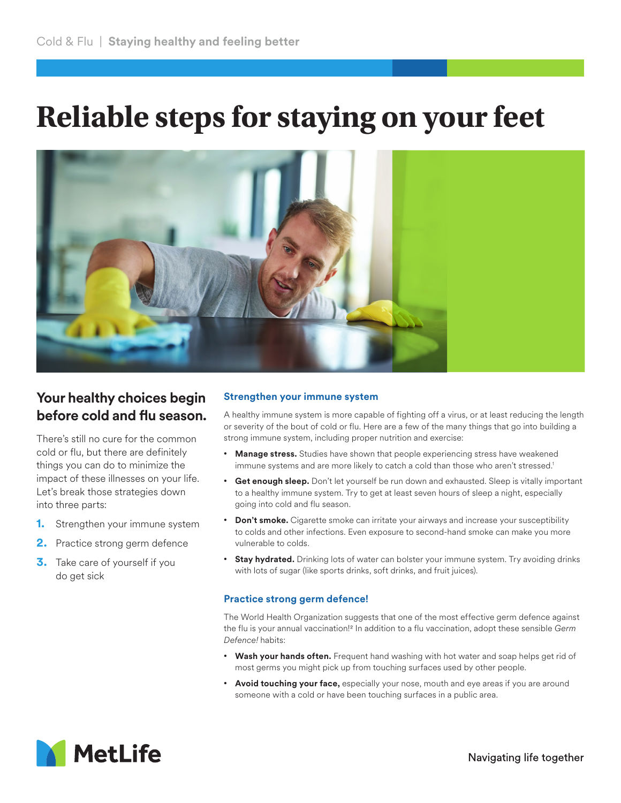# **Reliable steps for staying on your feet**



## **Your healthy choices begin before cold and flu season.**

There's still no cure for the common cold or flu, but there are definitely things you can do to minimize the impact of these illnesses on your life. Let's break those strategies down into three parts:

- **1.** Strengthen your immune system
- **2.** Practice strong germ defence
- **3.** Take care of yourself if you do get sick

#### **Strengthen your immune system**

A healthy immune system is more capable of fighting off a virus, or at least reducing the length or severity of the bout of cold or flu. Here are a few of the many things that go into building a strong immune system, including proper nutrition and exercise:

- **Manage stress.** Studies have shown that people experiencing stress have weakened immune systems and are more likely to catch a cold than those who aren't stressed.<sup>1</sup>
- **Get enough sleep.** Don't let yourself be run down and exhausted. Sleep is vitally important to a healthy immune system. Try to get at least seven hours of sleep a night, especially going into cold and flu season.
- **Don't smoke.** Cigarette smoke can irritate your airways and increase your susceptibility to colds and other infections. Even exposure to second-hand smoke can make you more vulnerable to colds.
- **Stay hydrated.** Drinking lots of water can bolster your immune system. Try avoiding drinks with lots of sugar (like sports drinks, soft drinks, and fruit juices).

### **Practice strong germ defence!**

The World Health Organization suggests that one of the most effective germ defence against the flu is your annual vaccination!2 In addition to a flu vaccination, adopt these sensible *Germ Defence!* habits:

- **Wash your hands often.** Frequent hand washing with hot water and soap helps get rid of most germs you might pick up from touching surfaces used by other people.
- **Avoid touching your face,** especially your nose, mouth and eye areas if you are around someone with a cold or have been touching surfaces in a public area.